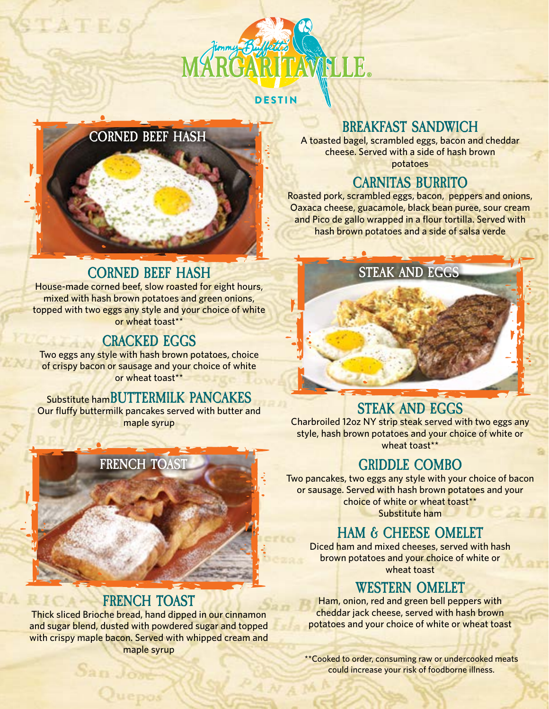

**DESTIN** 

# **CORNED BEEF HASH**

### **BREAKFAST SANDWICH**

A toasted bagel, scrambled eggs, bacon and cheddar cheese. Served with a side of hash brown potatoes

## **CARNITAS BURRITO**

Roasted pork, scrambled eggs, bacon, peppers and onions, Oaxaca cheese, guacamole, black bean puree, sour cream and Pico de gallo wrapped in a flour tortilla. Served with hash brown potatoes and a side of salsa verde

### **CORNED BEEF HASH STEAK AND EGGS**

House-made corned beef, slow roasted for eight hours, mixed with hash brown potatoes and green onions, topped with two eggs any style and your choice of white or wheat toast\*\*

## **CRACKED EGGS**

Two eggs any style with hash brown potatoes, choice of crispy bacon or sausage and your choice of white or wheat toast\*\*

Substitute ham**BUTTERMILK PANCAKES** Our fluffy buttermilk pancakes served with butter and maple syrup



#### **STEAK AND EGGS**

Charbroiled 12oz NY strip steak served with two eggs any style, hash brown potatoes and your choice of white or wheat toast\*\*

# **GRIDDLE COMBO**

Two pancakes, two eggs any style with your choice of bacon or sausage. Served with hash brown potatoes and your choice of white or wheat toast\*\* Substitute ham

## **HAM & CHEESE OMELET**

Diced ham and mixed cheeses, served with hash brown potatoes and your choice of white or wheat toast

### **WESTERN OMELET**

Ham, onion, red and green bell peppers with cheddar jack cheese, served with hash brown potatoes and your choice of white or wheat toast

\*\*Cooked to order, consuming raw or undercooked meats could increase your risk of foodborne illness.



# **FRENCH TOAST**

Thick sliced Brioche bread, hand dipped in our cinnamon and sugar blend, dusted with powdered sugar and topped with crispy maple bacon. Served with whipped cream and maple syrup

San Joy